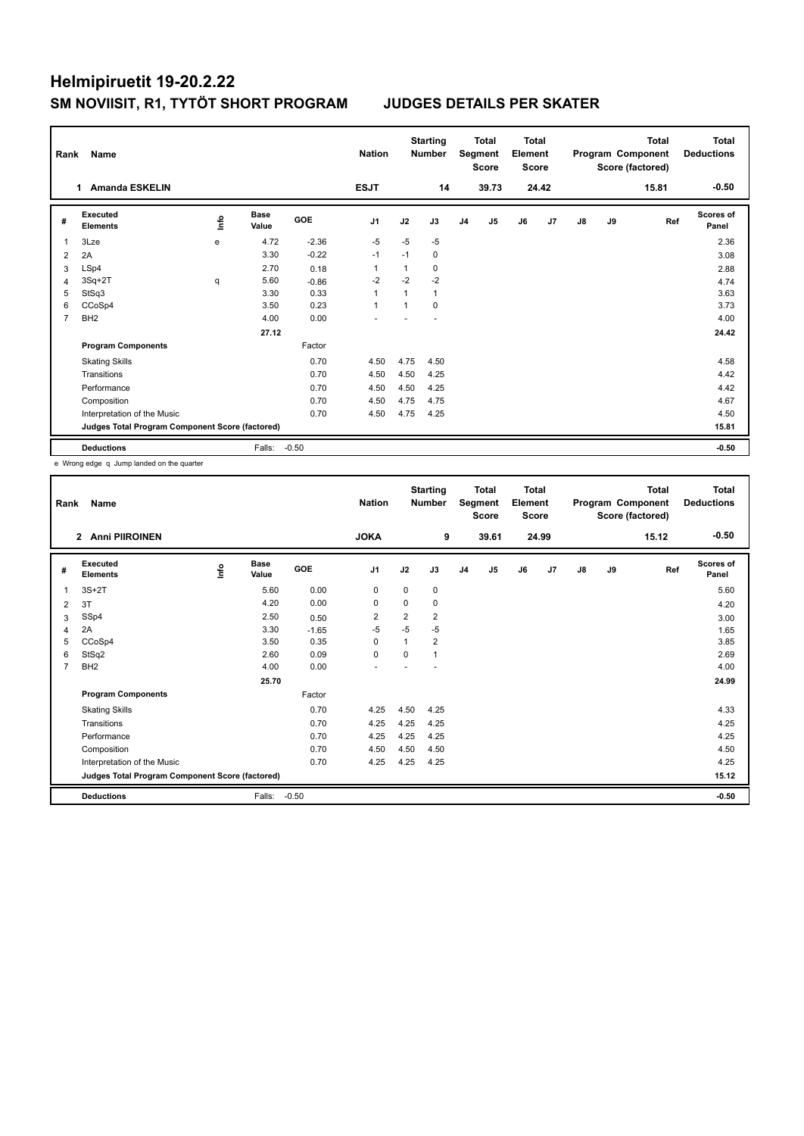| Rank | Name<br><b>Amanda ESKELIN</b><br>1.             |             |                      |            |                |              | <b>Starting</b><br><b>Number</b> |                | Total<br>Segment<br>Score | <b>Total</b><br>Element<br><b>Score</b> |                |    |    | <b>Total</b><br>Program Component<br>Score (factored) | <b>Total</b><br><b>Deductions</b> |
|------|-------------------------------------------------|-------------|----------------------|------------|----------------|--------------|----------------------------------|----------------|---------------------------|-----------------------------------------|----------------|----|----|-------------------------------------------------------|-----------------------------------|
|      |                                                 |             |                      |            | <b>ESJT</b>    |              | 14                               |                | 39.73                     |                                         | 24.42          |    |    | 15.81                                                 | $-0.50$                           |
| #    | Executed<br><b>Elements</b>                     | <u>info</u> | <b>Base</b><br>Value | <b>GOE</b> | J <sub>1</sub> | J2           | J3                               | J <sub>4</sub> | J5                        | J6                                      | J <sub>7</sub> | J8 | J9 | Ref                                                   | Scores of<br>Panel                |
| -1   | 3Lze                                            | e           | 4.72                 | $-2.36$    | $-5$           | $-5$         | $-5$                             |                |                           |                                         |                |    |    |                                                       | 2.36                              |
| 2    | 2A                                              |             | 3.30                 | $-0.22$    | $-1$           | $-1$         | 0                                |                |                           |                                         |                |    |    |                                                       | 3.08                              |
| 3    | LSp4                                            |             | 2.70                 | 0.18       | $\mathbf{1}$   | 1            | 0                                |                |                           |                                         |                |    |    |                                                       | 2.88                              |
| 4    | $3Sq+2T$                                        | q           | 5.60                 | $-0.86$    | $-2$           | $-2$         | $-2$                             |                |                           |                                         |                |    |    |                                                       | 4.74                              |
| 5    | StSq3                                           |             | 3.30                 | 0.33       | $\mathbf{1}$   | $\mathbf{1}$ | $\mathbf{1}$                     |                |                           |                                         |                |    |    |                                                       | 3.63                              |
| 6    | CCoSp4                                          |             | 3.50                 | 0.23       | $\overline{1}$ |              | $\Omega$                         |                |                           |                                         |                |    |    |                                                       | 3.73                              |
| 7    | BH <sub>2</sub>                                 |             | 4.00                 | 0.00       |                |              |                                  |                |                           |                                         |                |    |    |                                                       | 4.00                              |
|      |                                                 |             | 27.12                |            |                |              |                                  |                |                           |                                         |                |    |    |                                                       | 24.42                             |
|      | <b>Program Components</b>                       |             |                      | Factor     |                |              |                                  |                |                           |                                         |                |    |    |                                                       |                                   |
|      | <b>Skating Skills</b>                           |             |                      | 0.70       | 4.50           | 4.75         | 4.50                             |                |                           |                                         |                |    |    |                                                       | 4.58                              |
|      | Transitions                                     |             |                      | 0.70       | 4.50           | 4.50         | 4.25                             |                |                           |                                         |                |    |    |                                                       | 4.42                              |
|      | Performance                                     |             |                      | 0.70       | 4.50           | 4.50         | 4.25                             |                |                           |                                         |                |    |    |                                                       | 4.42                              |
|      | Composition                                     |             |                      | 0.70       | 4.50           | 4.75         | 4.75                             |                |                           |                                         |                |    |    |                                                       | 4.67                              |
|      | Interpretation of the Music                     |             |                      | 0.70       | 4.50           | 4.75         | 4.25                             |                |                           |                                         |                |    |    |                                                       | 4.50                              |
|      | Judges Total Program Component Score (factored) |             |                      |            |                |              |                                  |                |                           |                                         |                |    |    |                                                       | 15.81                             |
|      | <b>Deductions</b>                               |             | Falls:               | $-0.50$    |                |              |                                  |                |                           |                                         |                |    |    |                                                       | $-0.50$                           |

e Wrong edge q Jump landed on the quarter

| Rank           | Name<br><b>Anni PIIROINEN</b><br>$\overline{2}$ |      |                      |         | <b>Nation</b>            |                | <b>Starting</b><br><b>Number</b> |                | <b>Total</b><br>Segment<br><b>Score</b> | Total<br>Element<br><b>Score</b> |       |               |    | <b>Total</b><br>Program Component<br>Score (factored) | <b>Total</b><br><b>Deductions</b> |
|----------------|-------------------------------------------------|------|----------------------|---------|--------------------------|----------------|----------------------------------|----------------|-----------------------------------------|----------------------------------|-------|---------------|----|-------------------------------------------------------|-----------------------------------|
|                |                                                 |      |                      |         | <b>JOKA</b>              |                | 9                                |                | 39.61                                   |                                  | 24.99 |               |    | 15.12                                                 | $-0.50$                           |
| #              | Executed<br><b>Elements</b>                     | lnfo | <b>Base</b><br>Value | GOE     | J <sub>1</sub>           | J2             | J3                               | J <sub>4</sub> | J5                                      | J6                               | J7    | $\mathsf{J}8$ | J9 | Ref                                                   | <b>Scores of</b><br>Panel         |
| 1              | $3S+2T$                                         |      | 5.60                 | 0.00    | 0                        | 0              | 0                                |                |                                         |                                  |       |               |    |                                                       | 5.60                              |
| 2              | 3T                                              |      | 4.20                 | 0.00    | 0                        | $\Omega$       | 0                                |                |                                         |                                  |       |               |    |                                                       | 4.20                              |
| 3              | SSp4                                            |      | 2.50                 | 0.50    | $\overline{2}$           | $\overline{2}$ | $\overline{2}$                   |                |                                         |                                  |       |               |    |                                                       | 3.00                              |
| 4              | 2A                                              |      | 3.30                 | $-1.65$ | $-5$                     | $-5$           | $-5$                             |                |                                         |                                  |       |               |    |                                                       | 1.65                              |
| 5              | CCoSp4                                          |      | 3.50                 | 0.35    | $\Omega$                 | 1              | 2                                |                |                                         |                                  |       |               |    |                                                       | 3.85                              |
| 6              | StSq2                                           |      | 2.60                 | 0.09    | $\mathbf 0$              | $\Omega$       | 1                                |                |                                         |                                  |       |               |    |                                                       | 2.69                              |
| $\overline{7}$ | BH <sub>2</sub>                                 |      | 4.00                 | 0.00    | $\overline{\phantom{a}}$ |                |                                  |                |                                         |                                  |       |               |    |                                                       | 4.00                              |
|                |                                                 |      | 25.70                |         |                          |                |                                  |                |                                         |                                  |       |               |    |                                                       | 24.99                             |
|                | <b>Program Components</b>                       |      |                      | Factor  |                          |                |                                  |                |                                         |                                  |       |               |    |                                                       |                                   |
|                | <b>Skating Skills</b>                           |      |                      | 0.70    | 4.25                     | 4.50           | 4.25                             |                |                                         |                                  |       |               |    |                                                       | 4.33                              |
|                | Transitions                                     |      |                      | 0.70    | 4.25                     | 4.25           | 4.25                             |                |                                         |                                  |       |               |    |                                                       | 4.25                              |
|                | Performance                                     |      |                      | 0.70    | 4.25                     | 4.25           | 4.25                             |                |                                         |                                  |       |               |    |                                                       | 4.25                              |
|                | Composition                                     |      |                      | 0.70    | 4.50                     | 4.50           | 4.50                             |                |                                         |                                  |       |               |    |                                                       | 4.50                              |
|                | Interpretation of the Music                     |      |                      | 0.70    | 4.25                     | 4.25           | 4.25                             |                |                                         |                                  |       |               |    |                                                       | 4.25                              |
|                | Judges Total Program Component Score (factored) |      |                      |         |                          |                |                                  |                |                                         |                                  |       |               |    |                                                       | 15.12                             |
|                | <b>Deductions</b>                               |      | Falls:               | $-0.50$ |                          |                |                                  |                |                                         |                                  |       |               |    |                                                       | $-0.50$                           |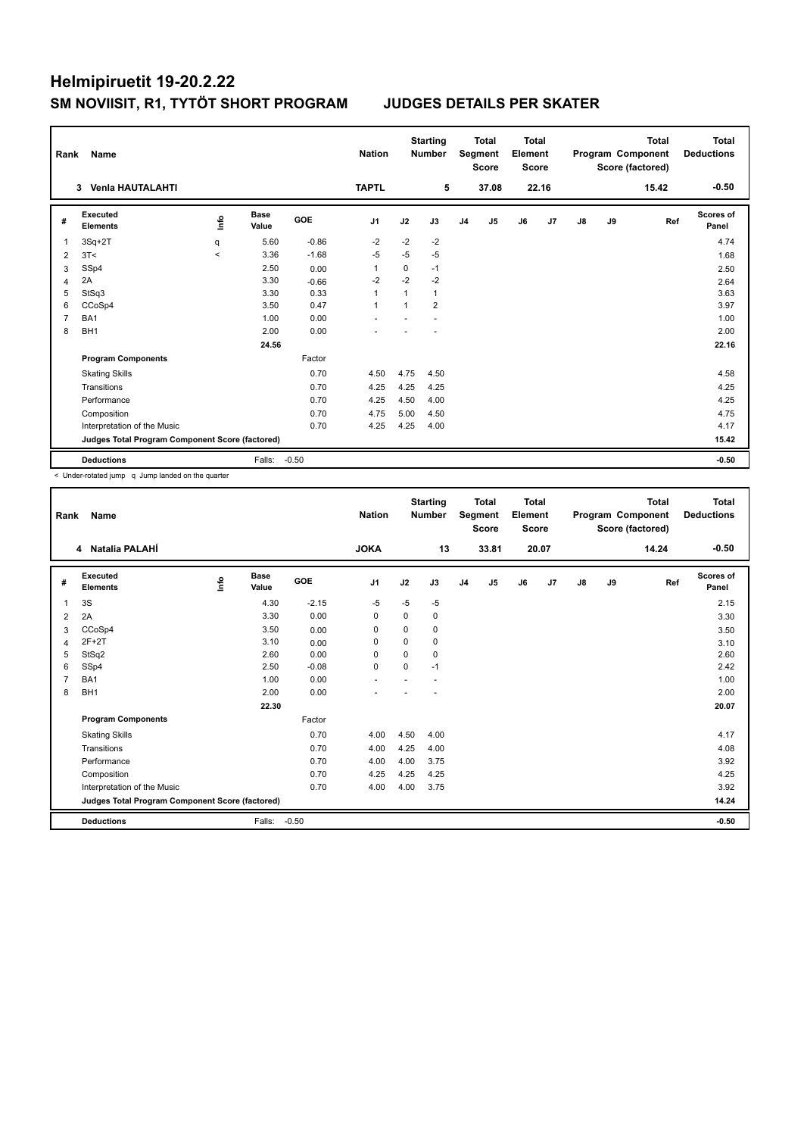| Rank           | Name                                            |         |                      |            | <b>Nation</b>  |          | <b>Starting</b><br><b>Number</b> |                | <b>Total</b><br>Segment<br><b>Score</b> | <b>Total</b><br>Element<br><b>Score</b> |       |               |    | <b>Total</b><br>Program Component<br>Score (factored) | Total<br><b>Deductions</b> |
|----------------|-------------------------------------------------|---------|----------------------|------------|----------------|----------|----------------------------------|----------------|-----------------------------------------|-----------------------------------------|-------|---------------|----|-------------------------------------------------------|----------------------------|
|                | Venia HAUTALAHTI<br>3                           |         |                      |            | <b>TAPTL</b>   |          | 5                                |                | 37.08                                   |                                         | 22.16 |               |    | 15.42                                                 | $-0.50$                    |
| #              | Executed<br><b>Elements</b>                     | Info    | <b>Base</b><br>Value | <b>GOE</b> | J <sub>1</sub> | J2       | J3                               | J <sub>4</sub> | J5                                      | J6                                      | J7    | $\mathsf{J}8$ | J9 | Ref                                                   | Scores of<br>Panel         |
| 1              | $3Sq+2T$                                        | q       | 5.60                 | $-0.86$    | $-2$           | $-2$     | $-2$                             |                |                                         |                                         |       |               |    |                                                       | 4.74                       |
| 2              | 3T<                                             | $\prec$ | 3.36                 | $-1.68$    | $-5$           | $-5$     | $-5$                             |                |                                         |                                         |       |               |    |                                                       | 1.68                       |
| 3              | SSp4                                            |         | 2.50                 | 0.00       | $\overline{1}$ | $\Omega$ | $-1$                             |                |                                         |                                         |       |               |    |                                                       | 2.50                       |
| 4              | 2A                                              |         | 3.30                 | $-0.66$    | $-2$           | $-2$     | $-2$                             |                |                                         |                                         |       |               |    |                                                       | 2.64                       |
| 5              | StSq3                                           |         | 3.30                 | 0.33       | $\overline{1}$ |          | $\mathbf{1}$                     |                |                                         |                                         |       |               |    |                                                       | 3.63                       |
| 6              | CCoSp4                                          |         | 3.50                 | 0.47       | $\overline{1}$ |          | $\overline{2}$                   |                |                                         |                                         |       |               |    |                                                       | 3.97                       |
| $\overline{7}$ | BA1                                             |         | 1.00                 | 0.00       |                |          |                                  |                |                                         |                                         |       |               |    |                                                       | 1.00                       |
| 8              | BH <sub>1</sub>                                 |         | 2.00                 | 0.00       |                |          |                                  |                |                                         |                                         |       |               |    |                                                       | 2.00                       |
|                |                                                 |         | 24.56                |            |                |          |                                  |                |                                         |                                         |       |               |    |                                                       | 22.16                      |
|                | <b>Program Components</b>                       |         |                      | Factor     |                |          |                                  |                |                                         |                                         |       |               |    |                                                       |                            |
|                | <b>Skating Skills</b>                           |         |                      | 0.70       | 4.50           | 4.75     | 4.50                             |                |                                         |                                         |       |               |    |                                                       | 4.58                       |
|                | Transitions                                     |         |                      | 0.70       | 4.25           | 4.25     | 4.25                             |                |                                         |                                         |       |               |    |                                                       | 4.25                       |
|                | Performance                                     |         |                      | 0.70       | 4.25           | 4.50     | 4.00                             |                |                                         |                                         |       |               |    |                                                       | 4.25                       |
|                | Composition                                     |         |                      | 0.70       | 4.75           | 5.00     | 4.50                             |                |                                         |                                         |       |               |    |                                                       | 4.75                       |
|                | Interpretation of the Music                     |         |                      | 0.70       | 4.25           | 4.25     | 4.00                             |                |                                         |                                         |       |               |    |                                                       | 4.17                       |
|                | Judges Total Program Component Score (factored) |         |                      |            |                |          |                                  |                |                                         |                                         |       |               |    |                                                       | 15.42                      |
|                | <b>Deductions</b>                               |         | Falls:               | $-0.50$    |                |          |                                  |                |                                         |                                         |       |               |    |                                                       | $-0.50$                    |

< Under-rotated jump q Jump landed on the quarter

| Rank | <b>Name</b>                                     |    |                      |         | <b>Nation</b>            |          | <b>Starting</b><br><b>Number</b> |                | <b>Total</b><br>Segment<br><b>Score</b> | <b>Total</b><br>Element<br><b>Score</b> |       |               |    | <b>Total</b><br>Program Component<br>Score (factored) | <b>Total</b><br><b>Deductions</b> |
|------|-------------------------------------------------|----|----------------------|---------|--------------------------|----------|----------------------------------|----------------|-----------------------------------------|-----------------------------------------|-------|---------------|----|-------------------------------------------------------|-----------------------------------|
|      | 4 Natalia PALAHI                                |    |                      |         | <b>JOKA</b>              |          | 13                               |                | 33.81                                   |                                         | 20.07 |               |    | 14.24                                                 | $-0.50$                           |
| #    | Executed<br><b>Elements</b>                     | ۴٥ | <b>Base</b><br>Value | GOE     | J <sub>1</sub>           | J2       | J3                               | J <sub>4</sub> | J5                                      | J6                                      | J7    | $\mathsf{J}8$ | J9 | Ref                                                   | <b>Scores of</b><br>Panel         |
| 1    | 3S                                              |    | 4.30                 | $-2.15$ | -5                       | $-5$     | $-5$                             |                |                                         |                                         |       |               |    |                                                       | 2.15                              |
| 2    | 2A                                              |    | 3.30                 | 0.00    | 0                        | 0        | 0                                |                |                                         |                                         |       |               |    |                                                       | 3.30                              |
| 3    | CCoSp4                                          |    | 3.50                 | 0.00    | 0                        | $\Omega$ | 0                                |                |                                         |                                         |       |               |    |                                                       | 3.50                              |
| 4    | $2F+2T$                                         |    | 3.10                 | 0.00    | $\Omega$                 | $\Omega$ | 0                                |                |                                         |                                         |       |               |    |                                                       | 3.10                              |
| 5    | StSq2                                           |    | 2.60                 | 0.00    | $\mathbf 0$              | $\Omega$ | 0                                |                |                                         |                                         |       |               |    |                                                       | 2.60                              |
| 6    | SSp4                                            |    | 2.50                 | $-0.08$ | $\mathbf 0$              | $\Omega$ | $-1$                             |                |                                         |                                         |       |               |    |                                                       | 2.42                              |
| 7    | BA1                                             |    | 1.00                 | 0.00    | $\overline{\phantom{a}}$ |          |                                  |                |                                         |                                         |       |               |    |                                                       | 1.00                              |
| 8    | BH <sub>1</sub>                                 |    | 2.00                 | 0.00    |                          |          |                                  |                |                                         |                                         |       |               |    |                                                       | 2.00                              |
|      |                                                 |    | 22.30                |         |                          |          |                                  |                |                                         |                                         |       |               |    |                                                       | 20.07                             |
|      | <b>Program Components</b>                       |    |                      | Factor  |                          |          |                                  |                |                                         |                                         |       |               |    |                                                       |                                   |
|      | <b>Skating Skills</b>                           |    |                      | 0.70    | 4.00                     | 4.50     | 4.00                             |                |                                         |                                         |       |               |    |                                                       | 4.17                              |
|      | Transitions                                     |    |                      | 0.70    | 4.00                     | 4.25     | 4.00                             |                |                                         |                                         |       |               |    |                                                       | 4.08                              |
|      | Performance                                     |    |                      | 0.70    | 4.00                     | 4.00     | 3.75                             |                |                                         |                                         |       |               |    |                                                       | 3.92                              |
|      | Composition                                     |    |                      | 0.70    | 4.25                     | 4.25     | 4.25                             |                |                                         |                                         |       |               |    |                                                       | 4.25                              |
|      | Interpretation of the Music                     |    |                      | 0.70    | 4.00                     | 4.00     | 3.75                             |                |                                         |                                         |       |               |    |                                                       | 3.92                              |
|      | Judges Total Program Component Score (factored) |    |                      |         |                          |          |                                  |                |                                         |                                         |       |               |    |                                                       | 14.24                             |
|      | <b>Deductions</b>                               |    | Falls:               | $-0.50$ |                          |          |                                  |                |                                         |                                         |       |               |    |                                                       | $-0.50$                           |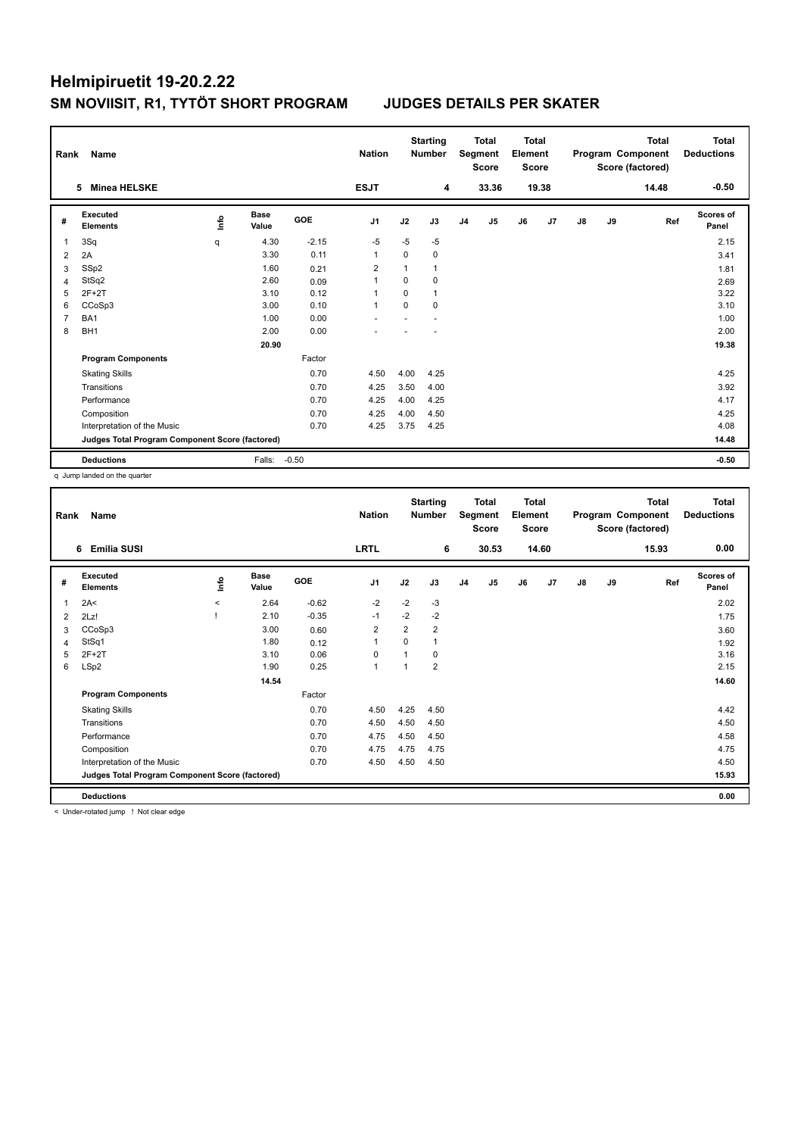| Rank           | Name                                            |    | <b>Nation</b>        |            | <b>Starting</b><br><b>Number</b> |             | <b>Total</b><br>Segment<br><b>Score</b> | <b>Total</b><br>Element<br><b>Score</b> |       |    |                | <b>Total</b><br>Program Component<br>Score (factored) | <b>Total</b><br><b>Deductions</b> |       |                    |
|----------------|-------------------------------------------------|----|----------------------|------------|----------------------------------|-------------|-----------------------------------------|-----------------------------------------|-------|----|----------------|-------------------------------------------------------|-----------------------------------|-------|--------------------|
|                | <b>Minea HELSKE</b><br>5                        |    |                      |            | <b>ESJT</b>                      |             | 4                                       |                                         | 33.36 |    | 19.38          |                                                       |                                   | 14.48 | $-0.50$            |
| #              | <b>Executed</b><br><b>Elements</b>              | ۴٥ | <b>Base</b><br>Value | <b>GOE</b> | J <sub>1</sub>                   | J2          | J3                                      | J <sub>4</sub>                          | J5    | J6 | J <sub>7</sub> | J8                                                    | J9                                | Ref   | Scores of<br>Panel |
| 1              | 3Sq                                             | q  | 4.30                 | $-2.15$    | $-5$                             | $-5$        | $-5$                                    |                                         |       |    |                |                                                       |                                   |       | 2.15               |
| $\overline{2}$ | 2A                                              |    | 3.30                 | 0.11       | $\overline{1}$                   | $\mathbf 0$ | $\mathbf 0$                             |                                         |       |    |                |                                                       |                                   |       | 3.41               |
| 3              | SSp2                                            |    | 1.60                 | 0.21       | $\overline{2}$                   |             | $\mathbf{1}$                            |                                         |       |    |                |                                                       |                                   |       | 1.81               |
| $\overline{4}$ | StSq2                                           |    | 2.60                 | 0.09       | 1                                | $\Omega$    | $\Omega$                                |                                         |       |    |                |                                                       |                                   |       | 2.69               |
| 5              | $2F+2T$                                         |    | 3.10                 | 0.12       | $\overline{1}$                   | $\Omega$    | $\mathbf{1}$                            |                                         |       |    |                |                                                       |                                   |       | 3.22               |
| 6              | CCoSp3                                          |    | 3.00                 | 0.10       | $\overline{1}$                   | $\Omega$    | $\Omega$                                |                                         |       |    |                |                                                       |                                   |       | 3.10               |
| $\overline{7}$ | BA1                                             |    | 1.00                 | 0.00       |                                  |             |                                         |                                         |       |    |                |                                                       |                                   |       | 1.00               |
| 8              | BH <sub>1</sub>                                 |    | 2.00                 | 0.00       |                                  |             |                                         |                                         |       |    |                |                                                       |                                   |       | 2.00               |
|                |                                                 |    | 20.90                |            |                                  |             |                                         |                                         |       |    |                |                                                       |                                   |       | 19.38              |
|                | <b>Program Components</b>                       |    |                      | Factor     |                                  |             |                                         |                                         |       |    |                |                                                       |                                   |       |                    |
|                | <b>Skating Skills</b>                           |    |                      | 0.70       | 4.50                             | 4.00        | 4.25                                    |                                         |       |    |                |                                                       |                                   |       | 4.25               |
|                | Transitions                                     |    |                      | 0.70       | 4.25                             | 3.50        | 4.00                                    |                                         |       |    |                |                                                       |                                   |       | 3.92               |
|                | Performance                                     |    |                      | 0.70       | 4.25                             | 4.00        | 4.25                                    |                                         |       |    |                |                                                       |                                   |       | 4.17               |
|                | Composition                                     |    |                      | 0.70       | 4.25                             | 4.00        | 4.50                                    |                                         |       |    |                |                                                       |                                   |       | 4.25               |
|                | Interpretation of the Music                     |    |                      | 0.70       | 4.25                             | 3.75        | 4.25                                    |                                         |       |    |                |                                                       |                                   |       | 4.08               |
|                | Judges Total Program Component Score (factored) |    |                      |            |                                  |             |                                         |                                         |       |    |                |                                                       |                                   |       | 14.48              |
|                | <b>Deductions</b>                               |    | Falls:               | $-0.50$    |                                  |             |                                         |                                         |       |    |                |                                                       |                                   |       | $-0.50$            |

q Jump landed on the quarter

| Rank | Name                                            |          |                      |         | <b>Nation</b>  |                | <b>Starting</b><br><b>Number</b> |                | <b>Total</b><br>Segment<br><b>Score</b> | Total<br>Element<br><b>Score</b> |       |    |    | Total<br>Program Component<br>Score (factored) | <b>Total</b><br><b>Deductions</b> |
|------|-------------------------------------------------|----------|----------------------|---------|----------------|----------------|----------------------------------|----------------|-----------------------------------------|----------------------------------|-------|----|----|------------------------------------------------|-----------------------------------|
|      | <b>Emilia SUSI</b><br>6                         |          |                      |         | <b>LRTL</b>    |                | 6                                |                | 30.53                                   |                                  | 14.60 |    |    | 15.93                                          | 0.00                              |
| #    | Executed<br><b>Elements</b>                     | ۴        | <b>Base</b><br>Value | GOE     | J <sub>1</sub> | J2             | J3                               | J <sub>4</sub> | J5                                      | J6                               | J7    | J8 | J9 | Ref                                            | <b>Scores of</b><br>Panel         |
| 1    | 2A<                                             | $\hat{}$ | 2.64                 | $-0.62$ | $-2$           | $-2$           | $-3$                             |                |                                         |                                  |       |    |    |                                                | 2.02                              |
| 2    | 2Lz!                                            |          | 2.10                 | $-0.35$ | $-1$           | $-2$           | $-2$                             |                |                                         |                                  |       |    |    |                                                | 1.75                              |
| 3    | CCoSp3                                          |          | 3.00                 | 0.60    | $\overline{2}$ | $\overline{2}$ | $\overline{2}$                   |                |                                         |                                  |       |    |    |                                                | 3.60                              |
| 4    | StSq1                                           |          | 1.80                 | 0.12    | 1              | $\Omega$       | 1                                |                |                                         |                                  |       |    |    |                                                | 1.92                              |
| 5    | $2F+2T$                                         |          | 3.10                 | 0.06    | 0              |                | 0                                |                |                                         |                                  |       |    |    |                                                | 3.16                              |
| 6    | LSp2                                            |          | 1.90                 | 0.25    | $\mathbf{1}$   |                | $\overline{2}$                   |                |                                         |                                  |       |    |    |                                                | 2.15                              |
|      |                                                 |          | 14.54                |         |                |                |                                  |                |                                         |                                  |       |    |    |                                                | 14.60                             |
|      | <b>Program Components</b>                       |          |                      | Factor  |                |                |                                  |                |                                         |                                  |       |    |    |                                                |                                   |
|      | <b>Skating Skills</b>                           |          |                      | 0.70    | 4.50           | 4.25           | 4.50                             |                |                                         |                                  |       |    |    |                                                | 4.42                              |
|      | Transitions                                     |          |                      | 0.70    | 4.50           | 4.50           | 4.50                             |                |                                         |                                  |       |    |    |                                                | 4.50                              |
|      | Performance                                     |          |                      | 0.70    | 4.75           | 4.50           | 4.50                             |                |                                         |                                  |       |    |    |                                                | 4.58                              |
|      | Composition                                     |          |                      | 0.70    | 4.75           | 4.75           | 4.75                             |                |                                         |                                  |       |    |    |                                                | 4.75                              |
|      | Interpretation of the Music                     |          |                      | 0.70    | 4.50           | 4.50           | 4.50                             |                |                                         |                                  |       |    |    |                                                | 4.50                              |
|      | Judges Total Program Component Score (factored) |          |                      |         |                |                |                                  |                |                                         |                                  |       |    |    |                                                | 15.93                             |
|      | <b>Deductions</b>                               |          |                      |         |                |                |                                  |                |                                         |                                  |       |    |    |                                                | 0.00                              |

< Under-rotated jump ! Not clear edge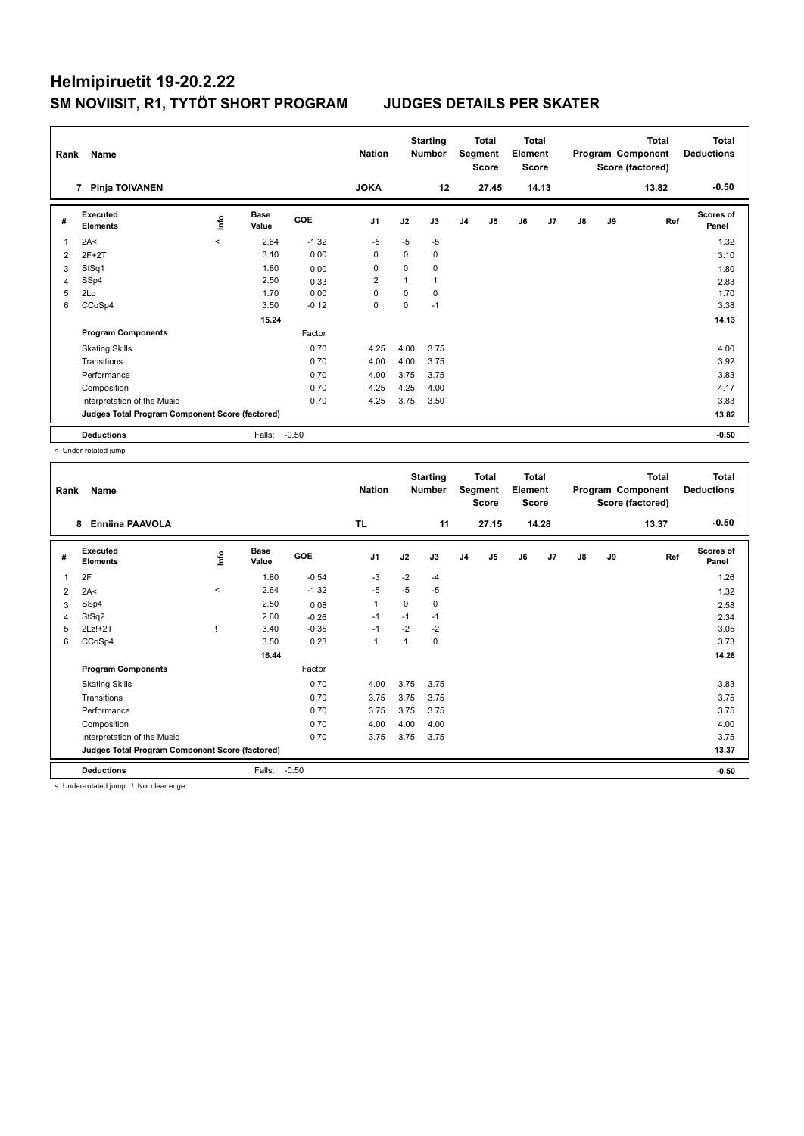| Rank           | Name<br>Pinja TOIVANEN<br>$\overline{7}$        |         | <b>Nation</b><br><b>JOKA</b> |            | <b>Starting</b><br><b>Number</b><br>12 |          | Total<br>Segment<br><b>Score</b><br>27.45 | <b>Total</b><br>Element<br><b>Score</b> | 14.13 |    |    | <b>Total</b><br>Program Component<br>Score (factored)<br>13.82 | <b>Total</b><br><b>Deductions</b><br>$-0.50$ |     |                           |
|----------------|-------------------------------------------------|---------|------------------------------|------------|----------------------------------------|----------|-------------------------------------------|-----------------------------------------|-------|----|----|----------------------------------------------------------------|----------------------------------------------|-----|---------------------------|
|                |                                                 |         |                              |            |                                        |          |                                           |                                         |       |    |    |                                                                |                                              |     |                           |
| #              | Executed<br><b>Elements</b>                     | info    | <b>Base</b><br>Value         | <b>GOE</b> | J <sub>1</sub>                         | J2       | J3                                        | J4                                      | J5    | J6 | J7 | $\mathsf{J}8$                                                  | J9                                           | Ref | <b>Scores of</b><br>Panel |
| 1              | 2A<                                             | $\prec$ | 2.64                         | $-1.32$    | $-5$                                   | $-5$     | $-5$                                      |                                         |       |    |    |                                                                |                                              |     | 1.32                      |
| $\overline{2}$ | $2F+2T$                                         |         | 3.10                         | 0.00       | 0                                      | 0        | 0                                         |                                         |       |    |    |                                                                |                                              |     | 3.10                      |
| 3              | StSq1                                           |         | 1.80                         | 0.00       | 0                                      | 0        | 0                                         |                                         |       |    |    |                                                                |                                              |     | 1.80                      |
| 4              | SSp4                                            |         | 2.50                         | 0.33       | $\overline{2}$                         |          |                                           |                                         |       |    |    |                                                                |                                              |     | 2.83                      |
| 5              | 2Lo                                             |         | 1.70                         | 0.00       | 0                                      | $\Omega$ | 0                                         |                                         |       |    |    |                                                                |                                              |     | 1.70                      |
| 6              | CCoSp4                                          |         | 3.50                         | $-0.12$    | 0                                      | 0        | $-1$                                      |                                         |       |    |    |                                                                |                                              |     | 3.38                      |
|                |                                                 |         | 15.24                        |            |                                        |          |                                           |                                         |       |    |    |                                                                |                                              |     | 14.13                     |
|                | <b>Program Components</b>                       |         |                              | Factor     |                                        |          |                                           |                                         |       |    |    |                                                                |                                              |     |                           |
|                | <b>Skating Skills</b>                           |         |                              | 0.70       | 4.25                                   | 4.00     | 3.75                                      |                                         |       |    |    |                                                                |                                              |     | 4.00                      |
|                | Transitions                                     |         |                              | 0.70       | 4.00                                   | 4.00     | 3.75                                      |                                         |       |    |    |                                                                |                                              |     | 3.92                      |
|                | Performance                                     |         |                              | 0.70       | 4.00                                   | 3.75     | 3.75                                      |                                         |       |    |    |                                                                |                                              |     | 3.83                      |
|                | Composition                                     |         |                              | 0.70       | 4.25                                   | 4.25     | 4.00                                      |                                         |       |    |    |                                                                |                                              |     | 4.17                      |
|                | Interpretation of the Music                     |         |                              | 0.70       | 4.25                                   | 3.75     | 3.50                                      |                                         |       |    |    |                                                                |                                              |     | 3.83                      |
|                | Judges Total Program Component Score (factored) |         |                              |            |                                        |          |                                           |                                         |       |    |    |                                                                |                                              |     | 13.82                     |
|                | <b>Deductions</b>                               |         | Falls:                       | $-0.50$    |                                        |          |                                           |                                         |       |    |    |                                                                |                                              |     | $-0.50$                   |

< Under-rotated jump

| Rank | Name<br><b>Enniina PAAVOLA</b><br>8             |          |                      |         | <b>Nation</b>  |                | <b>Starting</b><br>Number |                | <b>Total</b><br>Segment<br><b>Score</b> | <b>Total</b><br>Element<br><b>Score</b> |                |    |    | <b>Total</b><br>Program Component<br>Score (factored) | <b>Total</b><br><b>Deductions</b> |
|------|-------------------------------------------------|----------|----------------------|---------|----------------|----------------|---------------------------|----------------|-----------------------------------------|-----------------------------------------|----------------|----|----|-------------------------------------------------------|-----------------------------------|
|      |                                                 |          |                      |         | <b>TL</b>      |                | 11                        |                | 27.15                                   |                                         | 14.28          |    |    | 13.37                                                 | $-0.50$                           |
| #    | Executed<br><b>Elements</b>                     | ۴ů       | <b>Base</b><br>Value | GOE     | J <sub>1</sub> | J2             | J3                        | J <sub>4</sub> | J5                                      | J6                                      | J <sub>7</sub> | J8 | J9 | Ref                                                   | Scores of<br>Panel                |
| 1    | 2F                                              |          | 1.80                 | $-0.54$ | $-3$           | $-2$           | $-4$                      |                |                                         |                                         |                |    |    |                                                       | 1.26                              |
| 2    | 2A<                                             | $\hat{}$ | 2.64                 | $-1.32$ | $-5$           | $-5$           | $-5$                      |                |                                         |                                         |                |    |    |                                                       | 1.32                              |
| 3    | SSp4                                            |          | 2.50                 | 0.08    | $\mathbf{1}$   | $\Omega$       | 0                         |                |                                         |                                         |                |    |    |                                                       | 2.58                              |
| 4    | StSq2                                           |          | 2.60                 | $-0.26$ | $-1$           | $-1$           | $-1$                      |                |                                         |                                         |                |    |    |                                                       | 2.34                              |
| 5    | 2Lz!+2T                                         |          | 3.40                 | $-0.35$ | $-1$           | $-2$           | $-2$                      |                |                                         |                                         |                |    |    |                                                       | 3.05                              |
| 6    | CCoSp4                                          |          | 3.50                 | 0.23    | $\mathbf{1}$   | $\overline{1}$ | 0                         |                |                                         |                                         |                |    |    |                                                       | 3.73                              |
|      |                                                 |          | 16.44                |         |                |                |                           |                |                                         |                                         |                |    |    |                                                       | 14.28                             |
|      | <b>Program Components</b>                       |          |                      | Factor  |                |                |                           |                |                                         |                                         |                |    |    |                                                       |                                   |
|      | <b>Skating Skills</b>                           |          |                      | 0.70    | 4.00           | 3.75           | 3.75                      |                |                                         |                                         |                |    |    |                                                       | 3.83                              |
|      | Transitions                                     |          |                      | 0.70    | 3.75           | 3.75           | 3.75                      |                |                                         |                                         |                |    |    |                                                       | 3.75                              |
|      | Performance                                     |          |                      | 0.70    | 3.75           | 3.75           | 3.75                      |                |                                         |                                         |                |    |    |                                                       | 3.75                              |
|      | Composition                                     |          |                      | 0.70    | 4.00           | 4.00           | 4.00                      |                |                                         |                                         |                |    |    |                                                       | 4.00                              |
|      | Interpretation of the Music                     |          |                      | 0.70    | 3.75           | 3.75           | 3.75                      |                |                                         |                                         |                |    |    |                                                       | 3.75                              |
|      | Judges Total Program Component Score (factored) |          |                      |         |                |                |                           |                |                                         |                                         |                |    |    |                                                       | 13.37                             |
|      | <b>Deductions</b>                               |          | Falls:               | $-0.50$ |                |                |                           |                |                                         |                                         |                |    |    |                                                       | $-0.50$                           |
|      | .                                               |          |                      |         |                |                |                           |                |                                         |                                         |                |    |    |                                                       |                                   |

< Under-rotated jump ! Not clear edge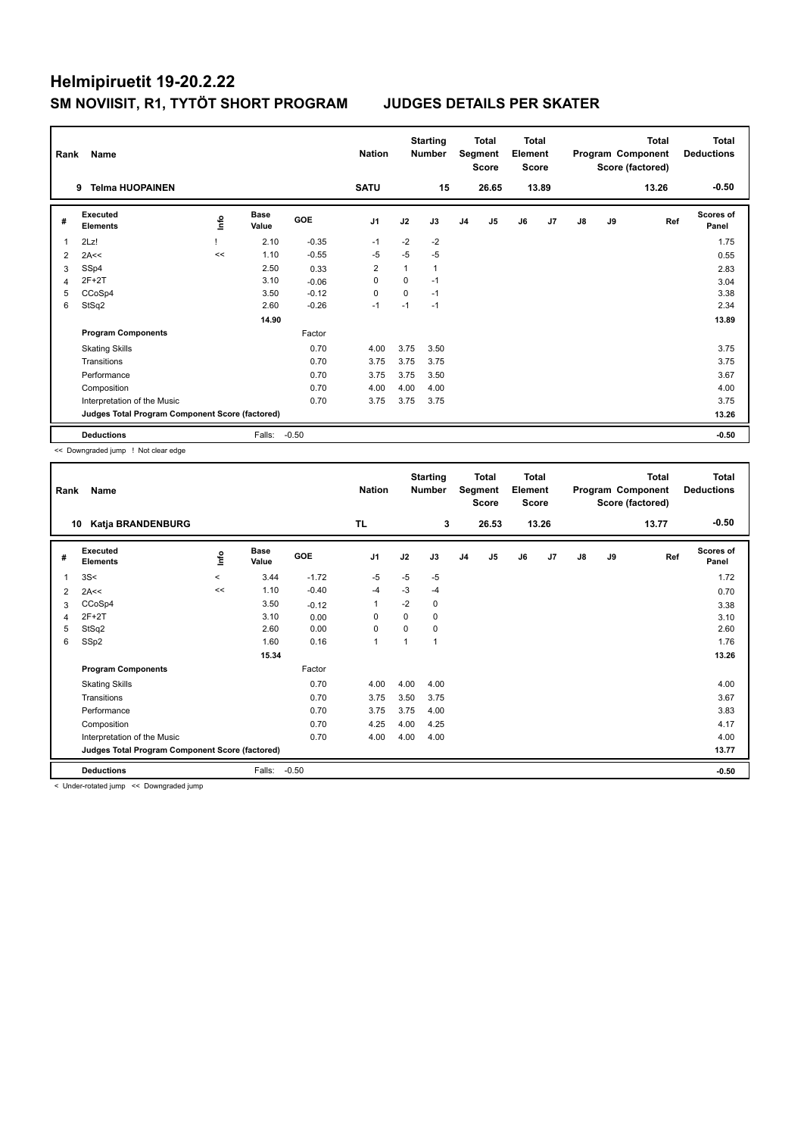| Rank | Name                                            |    |                      |            | <b>Nation</b>  |          | <b>Starting</b><br>Number |                | <b>Total</b><br>Segment<br><b>Score</b> | <b>Total</b><br>Element<br><b>Score</b> |       |    |    | <b>Total</b><br>Program Component<br>Score (factored) | <b>Total</b><br><b>Deductions</b> |
|------|-------------------------------------------------|----|----------------------|------------|----------------|----------|---------------------------|----------------|-----------------------------------------|-----------------------------------------|-------|----|----|-------------------------------------------------------|-----------------------------------|
|      | <b>Telma HUOPAINEN</b><br>9                     |    |                      |            | <b>SATU</b>    |          | 15                        |                | 26.65                                   |                                         | 13.89 |    |    | 13.26                                                 | $-0.50$                           |
| #    | Executed<br><b>Elements</b>                     | ۴٥ | <b>Base</b><br>Value | <b>GOE</b> | J <sub>1</sub> | J2       | J3                        | J <sub>4</sub> | J <sub>5</sub>                          | J6                                      | J7    | J8 | J9 | Ref                                                   | <b>Scores of</b><br>Panel         |
| 1    | 2Lz!                                            |    | 2.10                 | $-0.35$    | $-1$           | $-2$     | $-2$                      |                |                                         |                                         |       |    |    |                                                       | 1.75                              |
| 2    | 2A<<                                            | << | 1.10                 | $-0.55$    | $-5$           | $-5$     | $-5$                      |                |                                         |                                         |       |    |    |                                                       | 0.55                              |
| 3    | SSp4                                            |    | 2.50                 | 0.33       | 2              |          | $\mathbf{1}$              |                |                                         |                                         |       |    |    |                                                       | 2.83                              |
| 4    | $2F+2T$                                         |    | 3.10                 | $-0.06$    | $\mathbf 0$    | $\Omega$ | $-1$                      |                |                                         |                                         |       |    |    |                                                       | 3.04                              |
| 5    | CCoSp4                                          |    | 3.50                 | $-0.12$    | 0              | 0        | $-1$                      |                |                                         |                                         |       |    |    |                                                       | 3.38                              |
| 6    | StSq2                                           |    | 2.60                 | $-0.26$    | $-1$           | $-1$     | $-1$                      |                |                                         |                                         |       |    |    |                                                       | 2.34                              |
|      |                                                 |    | 14.90                |            |                |          |                           |                |                                         |                                         |       |    |    |                                                       | 13.89                             |
|      | <b>Program Components</b>                       |    |                      | Factor     |                |          |                           |                |                                         |                                         |       |    |    |                                                       |                                   |
|      | <b>Skating Skills</b>                           |    |                      | 0.70       | 4.00           | 3.75     | 3.50                      |                |                                         |                                         |       |    |    |                                                       | 3.75                              |
|      | Transitions                                     |    |                      | 0.70       | 3.75           | 3.75     | 3.75                      |                |                                         |                                         |       |    |    |                                                       | 3.75                              |
|      | Performance                                     |    |                      | 0.70       | 3.75           | 3.75     | 3.50                      |                |                                         |                                         |       |    |    |                                                       | 3.67                              |
|      | Composition                                     |    |                      | 0.70       | 4.00           | 4.00     | 4.00                      |                |                                         |                                         |       |    |    |                                                       | 4.00                              |
|      | Interpretation of the Music                     |    |                      | 0.70       | 3.75           | 3.75     | 3.75                      |                |                                         |                                         |       |    |    |                                                       | 3.75                              |
|      | Judges Total Program Component Score (factored) |    |                      |            |                |          |                           |                |                                         |                                         |       |    |    |                                                       | 13.26                             |
|      | <b>Deductions</b>                               |    | Falls:               | $-0.50$    |                |          |                           |                |                                         |                                         |       |    |    |                                                       | $-0.50$                           |

<< Downgraded jump ! Not clear edge

| Rank | Name                                            |                     |                      |         | <b>Nation</b>  |          | <b>Starting</b><br><b>Number</b> |                | <b>Total</b><br>Segment<br><b>Score</b> | Total<br>Element<br><b>Score</b> |       |               |    | <b>Total</b><br>Program Component<br>Score (factored) | <b>Total</b><br><b>Deductions</b> |
|------|-------------------------------------------------|---------------------|----------------------|---------|----------------|----------|----------------------------------|----------------|-----------------------------------------|----------------------------------|-------|---------------|----|-------------------------------------------------------|-----------------------------------|
| 10   | Katja BRANDENBURG                               |                     |                      |         | <b>TL</b>      |          | 3                                |                | 26.53                                   |                                  | 13.26 |               |    | 13.77                                                 | $-0.50$                           |
| #    | Executed<br><b>Elements</b>                     | ۴ů                  | <b>Base</b><br>Value | GOE     | J <sub>1</sub> | J2       | J3                               | J <sub>4</sub> | J5                                      | J6                               | J7    | $\mathsf{J}8$ | J9 | Ref                                                   | Scores of<br>Panel                |
| 1    | 3S<                                             | $\hat{\phantom{a}}$ | 3.44                 | $-1.72$ | $-5$           | $-5$     | -5                               |                |                                         |                                  |       |               |    |                                                       | 1.72                              |
| 2    | 2A<<                                            | <<                  | 1.10                 | $-0.40$ | $-4$           | $-3$     | $-4$                             |                |                                         |                                  |       |               |    |                                                       | 0.70                              |
| 3    | CCoSp4                                          |                     | 3.50                 | $-0.12$ | 1              | $-2$     | 0                                |                |                                         |                                  |       |               |    |                                                       | 3.38                              |
| 4    | $2F+2T$                                         |                     | 3.10                 | 0.00    | $\Omega$       | 0        | 0                                |                |                                         |                                  |       |               |    |                                                       | 3.10                              |
| 5    | StSq2                                           |                     | 2.60                 | 0.00    | 0              | $\Omega$ | 0                                |                |                                         |                                  |       |               |    |                                                       | 2.60                              |
| 6    | SSp2                                            |                     | 1.60                 | 0.16    | 1              | 4        | и                                |                |                                         |                                  |       |               |    |                                                       | 1.76                              |
|      |                                                 |                     | 15.34                |         |                |          |                                  |                |                                         |                                  |       |               |    |                                                       | 13.26                             |
|      | <b>Program Components</b>                       |                     |                      | Factor  |                |          |                                  |                |                                         |                                  |       |               |    |                                                       |                                   |
|      | <b>Skating Skills</b>                           |                     |                      | 0.70    | 4.00           | 4.00     | 4.00                             |                |                                         |                                  |       |               |    |                                                       | 4.00                              |
|      | Transitions                                     |                     |                      | 0.70    | 3.75           | 3.50     | 3.75                             |                |                                         |                                  |       |               |    |                                                       | 3.67                              |
|      | Performance                                     |                     |                      | 0.70    | 3.75           | 3.75     | 4.00                             |                |                                         |                                  |       |               |    |                                                       | 3.83                              |
|      | Composition                                     |                     |                      | 0.70    | 4.25           | 4.00     | 4.25                             |                |                                         |                                  |       |               |    |                                                       | 4.17                              |
|      | Interpretation of the Music                     |                     |                      | 0.70    | 4.00           | 4.00     | 4.00                             |                |                                         |                                  |       |               |    |                                                       | 4.00                              |
|      | Judges Total Program Component Score (factored) |                     |                      |         |                |          |                                  |                |                                         |                                  |       |               |    |                                                       | 13.77                             |
|      | <b>Deductions</b>                               |                     | Falls:               | $-0.50$ |                |          |                                  |                |                                         |                                  |       |               |    |                                                       | $-0.50$                           |
|      |                                                 |                     |                      |         |                |          |                                  |                |                                         |                                  |       |               |    |                                                       |                                   |

< Under-rotated jump << Downgraded jump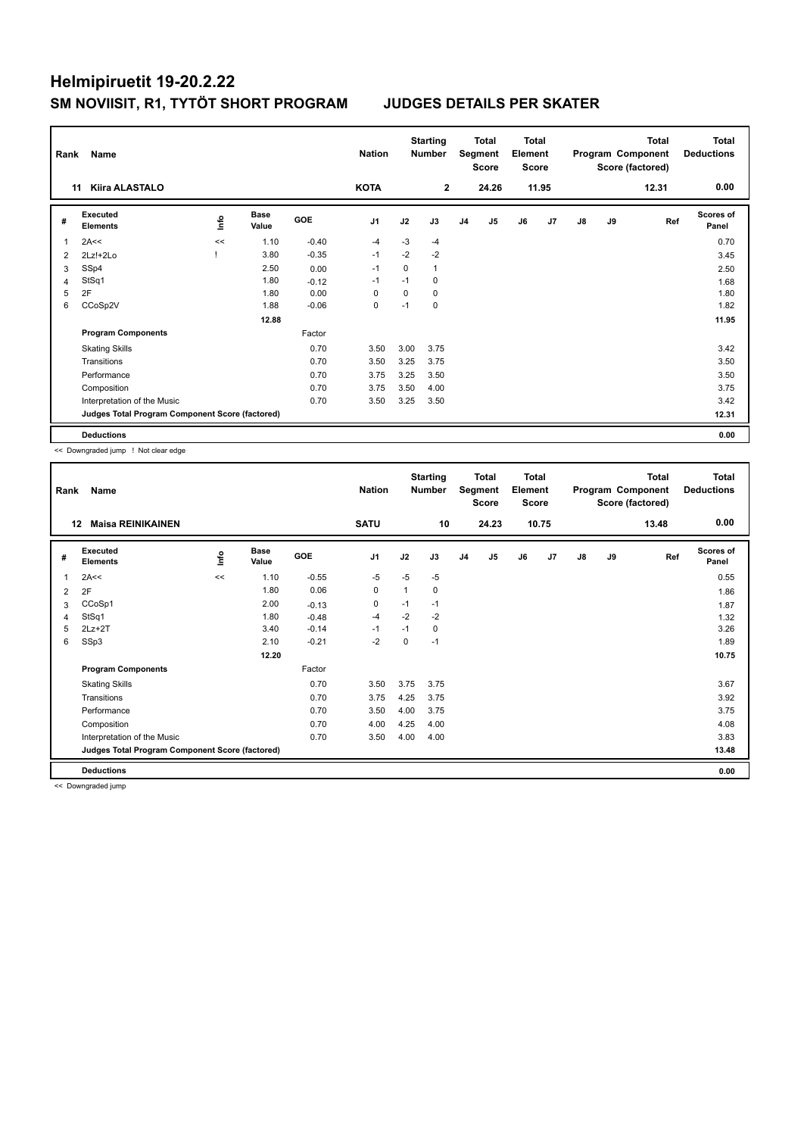|                | Rank<br>Name<br><b>Kiira ALASTALO</b><br>11     |      |                      |            | <b>Nation</b>  |      | <b>Starting</b><br><b>Number</b> |                | <b>Total</b><br>Segment<br><b>Score</b> | Total<br>Element<br><b>Score</b> |       |    |    | <b>Total</b><br>Program Component<br>Score (factored) | <b>Total</b><br><b>Deductions</b> |
|----------------|-------------------------------------------------|------|----------------------|------------|----------------|------|----------------------------------|----------------|-----------------------------------------|----------------------------------|-------|----|----|-------------------------------------------------------|-----------------------------------|
|                |                                                 |      |                      |            | <b>KOTA</b>    |      | $\overline{2}$                   |                | 24.26                                   |                                  | 11.95 |    |    | 12.31                                                 | 0.00                              |
| #              | Executed<br><b>Elements</b>                     | ١nfo | <b>Base</b><br>Value | <b>GOE</b> | J <sub>1</sub> | J2   | J3                               | J <sub>4</sub> | J5                                      | J6                               | J7    | J8 | J9 | Ref                                                   | <b>Scores of</b><br>Panel         |
| 1              | 2A<<                                            | <<   | 1.10                 | $-0.40$    | $-4$           | $-3$ | $-4$                             |                |                                         |                                  |       |    |    |                                                       | 0.70                              |
| $\overline{2}$ | 2Lz!+2Lo                                        |      | 3.80                 | $-0.35$    | $-1$           | $-2$ | $-2$                             |                |                                         |                                  |       |    |    |                                                       | 3.45                              |
| 3              | SSp4                                            |      | 2.50                 | 0.00       | -1             | 0    | $\mathbf{1}$                     |                |                                         |                                  |       |    |    |                                                       | 2.50                              |
| $\overline{4}$ | StSq1                                           |      | 1.80                 | $-0.12$    | $-1$           | $-1$ | $\Omega$                         |                |                                         |                                  |       |    |    |                                                       | 1.68                              |
| 5              | 2F                                              |      | 1.80                 | 0.00       | 0              | 0    | 0                                |                |                                         |                                  |       |    |    |                                                       | 1.80                              |
| 6              | CCoSp2V                                         |      | 1.88                 | $-0.06$    | 0              | $-1$ | 0                                |                |                                         |                                  |       |    |    |                                                       | 1.82                              |
|                |                                                 |      | 12.88                |            |                |      |                                  |                |                                         |                                  |       |    |    |                                                       | 11.95                             |
|                | <b>Program Components</b>                       |      |                      | Factor     |                |      |                                  |                |                                         |                                  |       |    |    |                                                       |                                   |
|                | <b>Skating Skills</b>                           |      |                      | 0.70       | 3.50           | 3.00 | 3.75                             |                |                                         |                                  |       |    |    |                                                       | 3.42                              |
|                | Transitions                                     |      |                      | 0.70       | 3.50           | 3.25 | 3.75                             |                |                                         |                                  |       |    |    |                                                       | 3.50                              |
|                | Performance                                     |      |                      | 0.70       | 3.75           | 3.25 | 3.50                             |                |                                         |                                  |       |    |    |                                                       | 3.50                              |
|                | Composition                                     |      |                      | 0.70       | 3.75           | 3.50 | 4.00                             |                |                                         |                                  |       |    |    |                                                       | 3.75                              |
|                | Interpretation of the Music                     |      |                      | 0.70       | 3.50           | 3.25 | 3.50                             |                |                                         |                                  |       |    |    |                                                       | 3.42                              |
|                | Judges Total Program Component Score (factored) |      |                      |            |                |      |                                  |                |                                         |                                  |       |    |    |                                                       | 12.31                             |
|                | <b>Deductions</b>                               |      |                      |            |                |      |                                  |                |                                         |                                  |       |    |    |                                                       | 0.00                              |

<< Downgraded jump ! Not clear edge

| Rank | Name                                            |    |                      |         | <b>Nation</b>  |      | <b>Starting</b><br><b>Number</b> |                | <b>Total</b><br>Segment<br><b>Score</b> | <b>Total</b><br>Element<br><b>Score</b> |                |               |    | <b>Total</b><br>Program Component<br>Score (factored) | <b>Total</b><br><b>Deductions</b> |
|------|-------------------------------------------------|----|----------------------|---------|----------------|------|----------------------------------|----------------|-----------------------------------------|-----------------------------------------|----------------|---------------|----|-------------------------------------------------------|-----------------------------------|
|      | <b>Maisa REINIKAINEN</b><br>$12 \,$             |    |                      |         | <b>SATU</b>    |      | 10                               |                | 24.23                                   |                                         | 10.75          |               |    | 13.48                                                 | 0.00                              |
| #    | Executed<br><b>Elements</b>                     | ۴ů | <b>Base</b><br>Value | GOE     | J <sub>1</sub> | J2   | J3                               | J <sub>4</sub> | J5                                      | J6                                      | J <sub>7</sub> | $\mathsf{J}8$ | J9 | Ref                                                   | <b>Scores of</b><br>Panel         |
| 1    | 2A<<                                            | << | 1.10                 | $-0.55$ | $-5$           | $-5$ | $-5$                             |                |                                         |                                         |                |               |    |                                                       | 0.55                              |
| 2    | 2F                                              |    | 1.80                 | 0.06    | 0              | 1    | 0                                |                |                                         |                                         |                |               |    |                                                       | 1.86                              |
| 3    | CCoSp1                                          |    | 2.00                 | $-0.13$ | $\mathbf 0$    | $-1$ | $-1$                             |                |                                         |                                         |                |               |    |                                                       | 1.87                              |
| 4    | StSq1                                           |    | 1.80                 | $-0.48$ | $-4$           | $-2$ | $-2$                             |                |                                         |                                         |                |               |    |                                                       | 1.32                              |
| 5    | $2Lz+2T$                                        |    | 3.40                 | $-0.14$ | $-1$           | $-1$ | 0                                |                |                                         |                                         |                |               |    |                                                       | 3.26                              |
| 6    | SSp3                                            |    | 2.10                 | $-0.21$ | $-2$           | 0    | $-1$                             |                |                                         |                                         |                |               |    |                                                       | 1.89                              |
|      |                                                 |    | 12.20                |         |                |      |                                  |                |                                         |                                         |                |               |    |                                                       | 10.75                             |
|      | <b>Program Components</b>                       |    |                      | Factor  |                |      |                                  |                |                                         |                                         |                |               |    |                                                       |                                   |
|      | <b>Skating Skills</b>                           |    |                      | 0.70    | 3.50           | 3.75 | 3.75                             |                |                                         |                                         |                |               |    |                                                       | 3.67                              |
|      | Transitions                                     |    |                      | 0.70    | 3.75           | 4.25 | 3.75                             |                |                                         |                                         |                |               |    |                                                       | 3.92                              |
|      | Performance                                     |    |                      | 0.70    | 3.50           | 4.00 | 3.75                             |                |                                         |                                         |                |               |    |                                                       | 3.75                              |
|      | Composition                                     |    |                      | 0.70    | 4.00           | 4.25 | 4.00                             |                |                                         |                                         |                |               |    |                                                       | 4.08                              |
|      | Interpretation of the Music                     |    |                      | 0.70    | 3.50           | 4.00 | 4.00                             |                |                                         |                                         |                |               |    |                                                       | 3.83                              |
|      | Judges Total Program Component Score (factored) |    |                      |         |                |      |                                  |                |                                         |                                         |                |               |    |                                                       | 13.48                             |
|      | <b>Deductions</b>                               |    |                      |         |                |      |                                  |                |                                         |                                         |                |               |    |                                                       | 0.00                              |

<< Downgraded jump